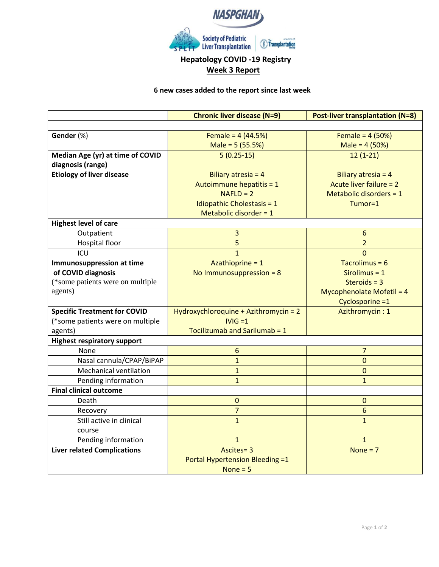

# **Hepatology COVID -19 Registry Week 3 Report**

### **6 new cases added to the report since last week**

|                                     | <b>Chronic liver disease (N=9)</b>     | <b>Post-liver transplantation (N=8)</b> |
|-------------------------------------|----------------------------------------|-----------------------------------------|
|                                     |                                        |                                         |
| Gender (%)                          | Female = $4(44.5%)$                    | Female = $4(50%)$                       |
|                                     | Male = 5 (55.5%)                       | Male = $4(50%)$                         |
| Median Age (yr) at time of COVID    | $5(0.25-15)$                           | $12(1-21)$                              |
| diagnosis (range)                   |                                        |                                         |
| <b>Etiology of liver disease</b>    | Biliary atresia = $4$                  | Biliary atresia = 4                     |
|                                     | Autoimmune hepatitis = 1               | Acute liver failure = 2                 |
|                                     | $NAFLD = 2$                            | Metabolic disorders = $1$               |
|                                     | Idiopathic Cholestasis = $1$           | Tumor=1                                 |
|                                     | Metabolic disorder = $1$               |                                         |
| <b>Highest level of care</b>        |                                        |                                         |
| Outpatient                          | 3                                      | 6                                       |
| Hospital floor                      | 5                                      | $\overline{2}$                          |
| ICU                                 | $\mathbf{1}$                           | $\Omega$                                |
| Immunosuppression at time           | Azathioprine = 1                       | Tacrolimus = $6$                        |
| of COVID diagnosis                  | No Immunosuppression = $8$             | Sirolimus = $1$                         |
| (*some patients were on multiple    |                                        | Steroids = $3$                          |
| agents)                             |                                        | <b>Mycophenolate Mofetil = 4</b>        |
|                                     |                                        | Cyclosporine =1                         |
| <b>Specific Treatment for COVID</b> | Hydroxychloroquine + Azithromycin = 2  | Azithromycin: 1                         |
| (*some patients were on multiple    | $IVIG = 1$                             |                                         |
| agents)                             | Tocilizumab and Sarilumab = 1          |                                         |
| <b>Highest respiratory support</b>  |                                        |                                         |
| <b>None</b>                         | 6                                      | $\overline{7}$                          |
| Nasal cannula/CPAP/BiPAP            | $\mathbf{1}$                           | $\overline{0}$                          |
| <b>Mechanical ventilation</b>       | $\mathbf{1}$                           | $\Omega$                                |
| Pending information                 | $\mathbf{1}$                           | $\mathbf{1}$                            |
| <b>Final clinical outcome</b>       |                                        |                                         |
| Death                               | $\mathbf{0}$                           | $\mathbf{0}$                            |
| Recovery                            | $\overline{7}$                         | $6\phantom{a}$                          |
| Still active in clinical            | $\mathbf{1}$                           | $\mathbf{1}$                            |
| course                              |                                        |                                         |
| Pending information                 | $\mathbf{1}$                           | $\mathbf{1}$                            |
| <b>Liver related Complications</b>  | Ascites=3                              | None = $7$                              |
|                                     | <b>Portal Hypertension Bleeding =1</b> |                                         |
|                                     | None $= 5$                             |                                         |